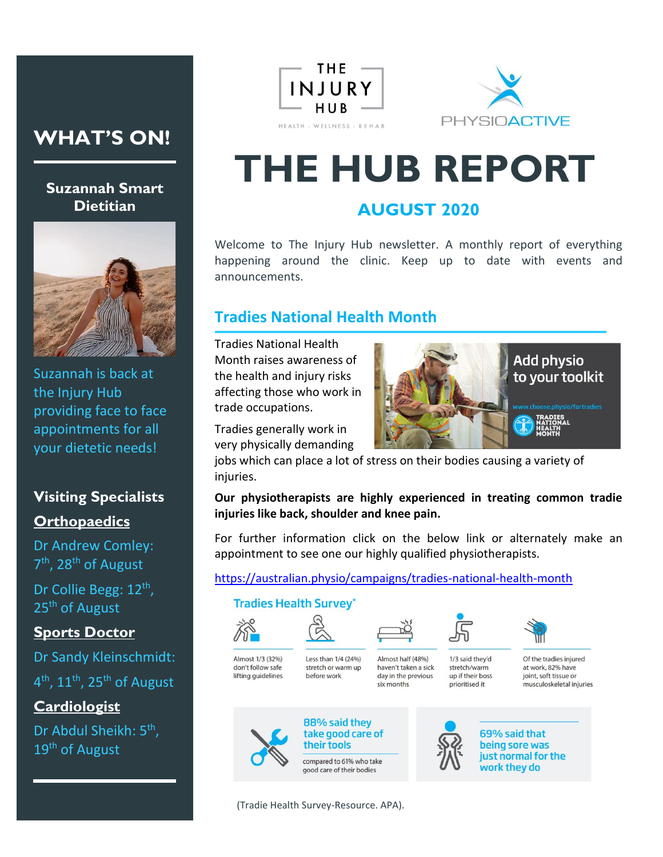## **WHAT'S ON!**

#### **Suzannah Smart Dietitian**



Suzannah is back at the Injury Hub providing face to face appointments for all your dietetic needs!

## **Visiting Specialists Orthopaedics**

Dr Andrew Comley: 7<sup>th</sup>, 28<sup>th</sup> of August

Dr Collie Begg: 12<sup>th</sup>, 25<sup>th</sup> of August

#### **Sports Doctor**

Dr Sandy Kleinschmidt:  $4^{\text{th}}$ ,  $11^{\text{th}}$ ,  $25^{\text{th}}$  of August

**Cardiologist**

Dr Abdul Sheikh: 5<sup>th</sup>, 19<sup>th</sup> of August





# **THE HUB REPORT**

## **AUGUST 2020**

Welcome to The Injury Hub newsletter. A monthly report of everything happening around the clinic. Keep up to date with events and announcements.

## **Tradies National Health Month**

Tradies National Health Month raises awareness of the health and injury risks affecting those who work in trade occupations.

Tradies generally work in very physically demanding



jobs which can place a lot of stress on their bodies causing a variety of injuries.

#### **Our physiotherapists are highly experienced in treating common tradie injuries like back, shoulder and knee pain.**

For further information click on the below link or alternately make an appointment to see one our highly qualified physiotherapists.

<https://australian.physio/campaigns/tradies-national-health-month>

#### **Tradies Health Survey\***



Almost 1/3 (32%)

don't follow safe

lifting quidelines







before work





1/3 said they'd stretch/warm up if their boss prioritised it



at work 82% have joint, soft tissue or musculoskeletal injuries



88% said they take good care of their tools

compared to 61% who take good care of their bodies

(Tradie Health Survey-Resource. APA).



69% said that being sore was just normal for the work they do